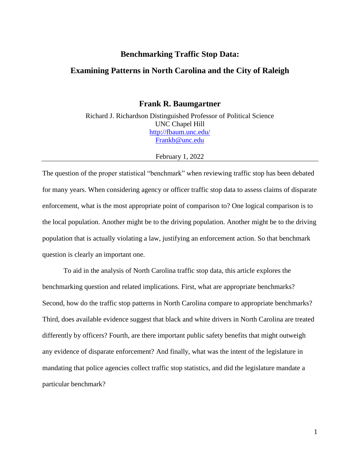#### **Benchmarking Traffic Stop Data:**

#### **Examining Patterns in North Carolina and the City of Raleigh**

**Frank R. Baumgartner**

Richard J. Richardson Distinguished Professor of Political Science UNC Chapel Hill <http://fbaum.unc.edu/> [Frankb@unc.edu](mailto:Frankb@unc.edu)

#### February 1, 2022

The question of the proper statistical "benchmark" when reviewing traffic stop has been debated for many years. When considering agency or officer traffic stop data to assess claims of disparate enforcement, what is the most appropriate point of comparison to? One logical comparison is to the local population. Another might be to the driving population. Another might be to the driving population that is actually violating a law, justifying an enforcement action. So that benchmark question is clearly an important one.

To aid in the analysis of North Carolina traffic stop data, this article explores the benchmarking question and related implications. First, what are appropriate benchmarks? Second, how do the traffic stop patterns in North Carolina compare to appropriate benchmarks? Third, does available evidence suggest that black and white drivers in North Carolina are treated differently by officers? Fourth, are there important public safety benefits that might outweigh any evidence of disparate enforcement? And finally, what was the intent of the legislature in mandating that police agencies collect traffic stop statistics, and did the legislature mandate a particular benchmark?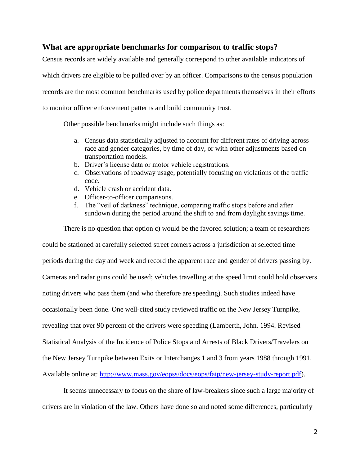## **What are appropriate benchmarks for comparison to traffic stops?**

Census records are widely available and generally correspond to other available indicators of which drivers are eligible to be pulled over by an officer. Comparisons to the census population records are the most common benchmarks used by police departments themselves in their efforts to monitor officer enforcement patterns and build community trust.

Other possible benchmarks might include such things as:

- a. Census data statistically adjusted to account for different rates of driving across race and gender categories, by time of day, or with other adjustments based on transportation models.
- b. Driver's license data or motor vehicle registrations.
- c. Observations of roadway usage, potentially focusing on violations of the traffic code.
- d. Vehicle crash or accident data.
- e. Officer-to-officer comparisons.
- f. The "veil of darkness" technique, comparing traffic stops before and after sundown during the period around the shift to and from daylight savings time.

There is no question that option c) would be the favored solution; a team of researchers

could be stationed at carefully selected street corners across a jurisdiction at selected time periods during the day and week and record the apparent race and gender of drivers passing by. Cameras and radar guns could be used; vehicles travelling at the speed limit could hold observers noting drivers who pass them (and who therefore are speeding). Such studies indeed have occasionally been done. One well-cited study reviewed traffic on the New Jersey Turnpike, revealing that over 90 percent of the drivers were speeding (Lamberth, John. 1994. Revised Statistical Analysis of the Incidence of Police Stops and Arrests of Black Drivers/Travelers on the New Jersey Turnpike between Exits or Interchanges 1 and 3 from years 1988 through 1991. Available online at: [http://www.mass.gov/eopss/docs/eops/faip/new-jersey-study-report.pdf\)](http://www.mass.gov/eopss/docs/eops/faip/new-jersey-study-report.pdf).

It seems unnecessary to focus on the share of law-breakers since such a large majority of drivers are in violation of the law. Others have done so and noted some differences, particularly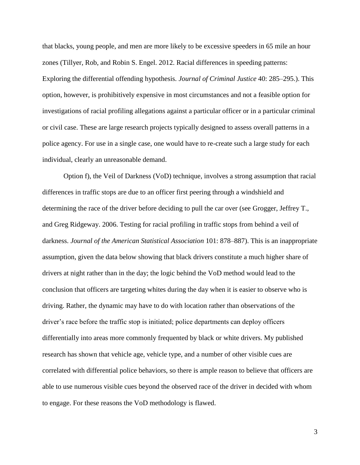that blacks, young people, and men are more likely to be excessive speeders in 65 mile an hour zones (Tillyer, Rob, and Robin S. Engel. 2012. Racial differences in speeding patterns: Exploring the differential offending hypothesis. *Journal of Criminal Justice* 40: 285–295.). This option, however, is prohibitively expensive in most circumstances and not a feasible option for investigations of racial profiling allegations against a particular officer or in a particular criminal or civil case. These are large research projects typically designed to assess overall patterns in a police agency. For use in a single case, one would have to re-create such a large study for each individual, clearly an unreasonable demand.

Option f), the Veil of Darkness (VoD) technique, involves a strong assumption that racial differences in traffic stops are due to an officer first peering through a windshield and determining the race of the driver before deciding to pull the car over (see Grogger, Jeffrey T., and Greg Ridgeway. 2006. Testing for racial profiling in traffic stops from behind a veil of darkness. *Journal of the American Statistical Association* 101: 878–887). This is an inappropriate assumption, given the data below showing that black drivers constitute a much higher share of drivers at night rather than in the day; the logic behind the VoD method would lead to the conclusion that officers are targeting whites during the day when it is easier to observe who is driving. Rather, the dynamic may have to do with location rather than observations of the driver's race before the traffic stop is initiated; police departments can deploy officers differentially into areas more commonly frequented by black or white drivers. My published research has shown that vehicle age, vehicle type, and a number of other visible cues are correlated with differential police behaviors, so there is ample reason to believe that officers are able to use numerous visible cues beyond the observed race of the driver in decided with whom to engage. For these reasons the VoD methodology is flawed.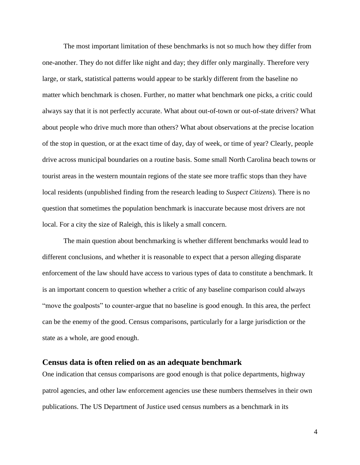The most important limitation of these benchmarks is not so much how they differ from one-another. They do not differ like night and day; they differ only marginally. Therefore very large, or stark, statistical patterns would appear to be starkly different from the baseline no matter which benchmark is chosen. Further, no matter what benchmark one picks, a critic could always say that it is not perfectly accurate. What about out-of-town or out-of-state drivers? What about people who drive much more than others? What about observations at the precise location of the stop in question, or at the exact time of day, day of week, or time of year? Clearly, people drive across municipal boundaries on a routine basis. Some small North Carolina beach towns or tourist areas in the western mountain regions of the state see more traffic stops than they have local residents (unpublished finding from the research leading to *Suspect Citizens*). There is no question that sometimes the population benchmark is inaccurate because most drivers are not local. For a city the size of Raleigh, this is likely a small concern.

The main question about benchmarking is whether different benchmarks would lead to different conclusions, and whether it is reasonable to expect that a person alleging disparate enforcement of the law should have access to various types of data to constitute a benchmark. It is an important concern to question whether a critic of any baseline comparison could always "move the goalposts" to counter-argue that no baseline is good enough. In this area, the perfect can be the enemy of the good. Census comparisons, particularly for a large jurisdiction or the state as a whole, are good enough.

### **Census data is often relied on as an adequate benchmark**

One indication that census comparisons are good enough is that police departments, highway patrol agencies, and other law enforcement agencies use these numbers themselves in their own publications. The US Department of Justice used census numbers as a benchmark in its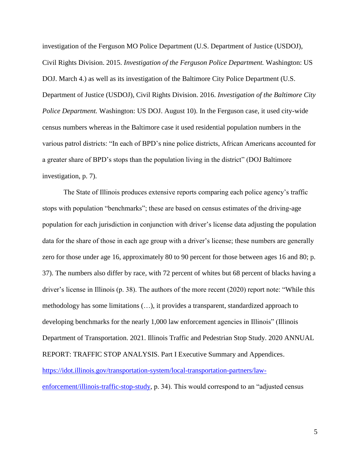investigation of the Ferguson MO Police Department (U.S. Department of Justice (USDOJ), Civil Rights Division. 2015. *Investigation of the Ferguson Police Department.* Washington: US DOJ. March 4.) as well as its investigation of the Baltimore City Police Department (U.S. Department of Justice (USDOJ), Civil Rights Division. 2016. *Investigation of the Baltimore City Police Department.* Washington: US DOJ. August 10). In the Ferguson case, it used city-wide census numbers whereas in the Baltimore case it used residential population numbers in the various patrol districts: "In each of BPD's nine police districts, African Americans accounted for a greater share of BPD's stops than the population living in the district" (DOJ Baltimore investigation, p. 7).

The State of Illinois produces extensive reports comparing each police agency's traffic stops with population "benchmarks"; these are based on census estimates of the driving-age population for each jurisdiction in conjunction with driver's license data adjusting the population data for the share of those in each age group with a driver's license; these numbers are generally zero for those under age 16, approximately 80 to 90 percent for those between ages 16 and 80; p. 37). The numbers also differ by race, with 72 percent of whites but 68 percent of blacks having a driver's license in Illinois (p. 38). The authors of the more recent (2020) report note: "While this methodology has some limitations (…), it provides a transparent, standardized approach to developing benchmarks for the nearly 1,000 law enforcement agencies in Illinois" (Illinois Department of Transportation. 2021. Illinois Traffic and Pedestrian Stop Study. 2020 ANNUAL REPORT: TRAFFIC STOP ANALYSIS. Part I Executive Summary and Appendices. [https://idot.illinois.gov/transportation-system/local-transportation-partners/law-](https://idot.illinois.gov/transportation-system/local-transportation-partners/law-enforcement/illinois-traffic-stop-study)

[enforcement/illinois-traffic-stop-study,](https://idot.illinois.gov/transportation-system/local-transportation-partners/law-enforcement/illinois-traffic-stop-study) p. 34). This would correspond to an "adjusted census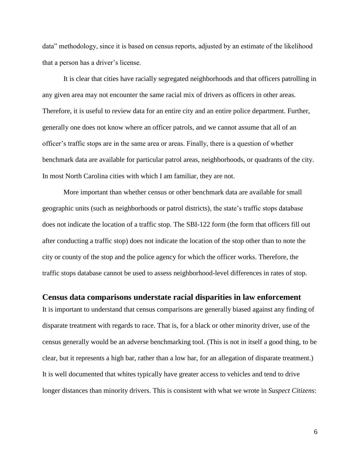data" methodology, since it is based on census reports, adjusted by an estimate of the likelihood that a person has a driver's license.

It is clear that cities have racially segregated neighborhoods and that officers patrolling in any given area may not encounter the same racial mix of drivers as officers in other areas. Therefore, it is useful to review data for an entire city and an entire police department. Further, generally one does not know where an officer patrols, and we cannot assume that all of an officer's traffic stops are in the same area or areas. Finally, there is a question of whether benchmark data are available for particular patrol areas, neighborhoods, or quadrants of the city. In most North Carolina cities with which I am familiar, they are not.

More important than whether census or other benchmark data are available for small geographic units (such as neighborhoods or patrol districts), the state's traffic stops database does not indicate the location of a traffic stop. The SBI-122 form (the form that officers fill out after conducting a traffic stop) does not indicate the location of the stop other than to note the city or county of the stop and the police agency for which the officer works. Therefore, the traffic stops database cannot be used to assess neighborhood-level differences in rates of stop.

### **Census data comparisons understate racial disparities in law enforcement**

It is important to understand that census comparisons are generally biased against any finding of disparate treatment with regards to race. That is, for a black or other minority driver, use of the census generally would be an adverse benchmarking tool. (This is not in itself a good thing, to be clear, but it represents a high bar, rather than a low bar, for an allegation of disparate treatment.) It is well documented that whites typically have greater access to vehicles and tend to drive longer distances than minority drivers. This is consistent with what we wrote in *Suspect Citizens*: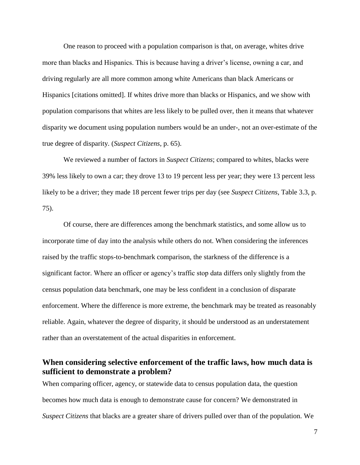One reason to proceed with a population comparison is that, on average, whites drive more than blacks and Hispanics. This is because having a driver's license, owning a car, and driving regularly are all more common among white Americans than black Americans or Hispanics [citations omitted]. If whites drive more than blacks or Hispanics, and we show with population comparisons that whites are less likely to be pulled over, then it means that whatever disparity we document using population numbers would be an under-, not an over-estimate of the true degree of disparity. (*Suspect Citizens*, p. 65).

We reviewed a number of factors in *Suspect Citizens*; compared to whites, blacks were 39% less likely to own a car; they drove 13 to 19 percent less per year; they were 13 percent less likely to be a driver; they made 18 percent fewer trips per day (see *Suspect Citizens*, Table 3.3, p. 75).

Of course, there are differences among the benchmark statistics, and some allow us to incorporate time of day into the analysis while others do not. When considering the inferences raised by the traffic stops-to-benchmark comparison, the starkness of the difference is a significant factor. Where an officer or agency's traffic stop data differs only slightly from the census population data benchmark, one may be less confident in a conclusion of disparate enforcement. Where the difference is more extreme, the benchmark may be treated as reasonably reliable. Again, whatever the degree of disparity, it should be understood as an understatement rather than an overstatement of the actual disparities in enforcement.

# **When considering selective enforcement of the traffic laws, how much data is sufficient to demonstrate a problem?**

When comparing officer, agency, or statewide data to census population data, the question becomes how much data is enough to demonstrate cause for concern? We demonstrated in *Suspect Citizens* that blacks are a greater share of drivers pulled over than of the population. We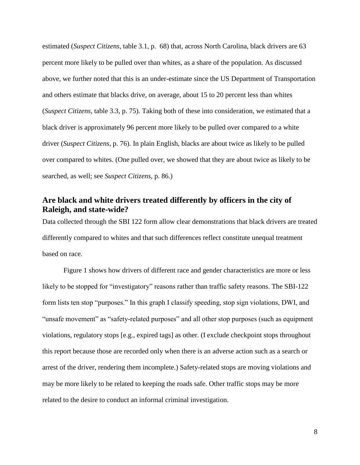estimated (*Suspect Citizens*, table 3.1, p. 68) that, across North Carolina, black drivers are 63 percent more likely to be pulled over than whites, as a share of the population. As discussed above, we further noted that this is an under-estimate since the US Department of Transportation and others estimate that blacks drive, on average, about 15 to 20 percent less than whites (*Suspect Citizens*, table 3.3, p. 75). Taking both of these into consideration, we estimated that a black driver is approximately 96 percent more likely to be pulled over compared to a white driver (*Suspect Citizens*, p. 76). In plain English, blacks are about twice as likely to be pulled over compared to whites. (One pulled over, we showed that they are about twice as likely to be searched, as well; see *Suspect Citizens*, p. 86.)

# **Are black and white drivers treated differently by officers in the city of Raleigh, and state-wide?**

Data collected through the SBI 122 form allow clear demonstrations that black drivers are treated differently compared to whites and that such differences reflect constitute unequal treatment based on race.

Figure 1 shows how drivers of different race and gender characteristics are more or less likely to be stopped for "investigatory" reasons rather than traffic safety reasons. The SBI-122 form lists ten stop "purposes." In this graph I classify speeding, stop sign violations, DWI, and "unsafe movement" as "safety-related purposes" and all other stop purposes (such as equipment violations, regulatory stops [e.g., expired tags] as other. (I exclude checkpoint stops throughout this report because those are recorded only when there is an adverse action such as a search or arrest of the driver, rendering them incomplete.) Safety-related stops are moving violations and may be more likely to be related to keeping the roads safe. Other traffic stops may be more related to the desire to conduct an informal criminal investigation.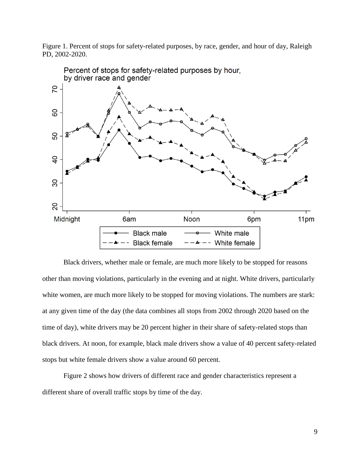Figure 1. Percent of stops for safety-related purposes, by race, gender, and hour of day, Raleigh PD, 2002-2020.



Black drivers, whether male or female, are much more likely to be stopped for reasons other than moving violations, particularly in the evening and at night. White drivers, particularly white women, are much more likely to be stopped for moving violations. The numbers are stark: at any given time of the day (the data combines all stops from 2002 through 2020 based on the time of day), white drivers may be 20 percent higher in their share of safety-related stops than black drivers. At noon, for example, black male drivers show a value of 40 percent safety-related stops but white female drivers show a value around 60 percent.

Figure 2 shows how drivers of different race and gender characteristics represent a different share of overall traffic stops by time of the day.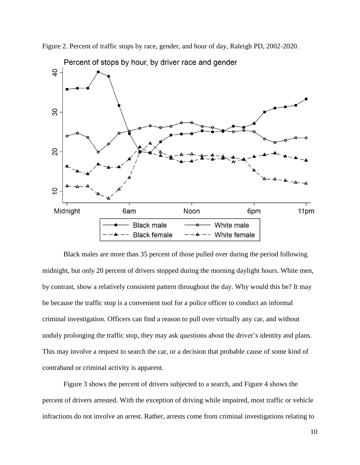

Figure 2. Percent of traffic stops by race, gender, and hour of day, Raleigh PD, 2002-2020.

Black males are more than 35 percent of those pulled over during the period following midnight, but only 20 percent of drivers stopped during the morning daylight hours. White men, by contrast, show a relatively consistent pattern throughout the day. Why would this be? It may be because the traffic stop is a convenient tool for a police officer to conduct an informal criminal investigation. Officers can find a reason to pull over virtually any car, and without unduly prolonging the traffic stop, they may ask questions about the driver's identity and plans. This may involve a request to search the car, or a decision that probable cause of some kind of contraband or criminal activity is apparent.

Figure 3 shows the percent of drivers subjected to a search, and Figure 4 shows the percent of drivers arrested. With the exception of driving while impaired, most traffic or vehicle infractions do not involve an arrest. Rather, arrests come from criminal investigations relating to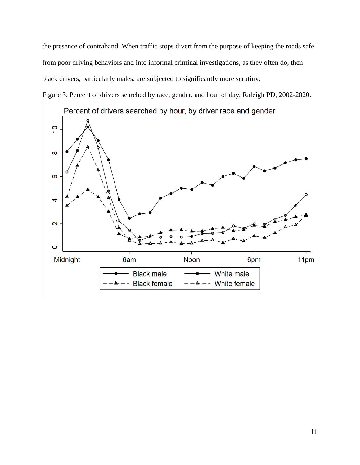the presence of contraband. When traffic stops divert from the purpose of keeping the roads safe from poor driving behaviors and into informal criminal investigations, as they often do, then black drivers, particularly males, are subjected to significantly more scrutiny.

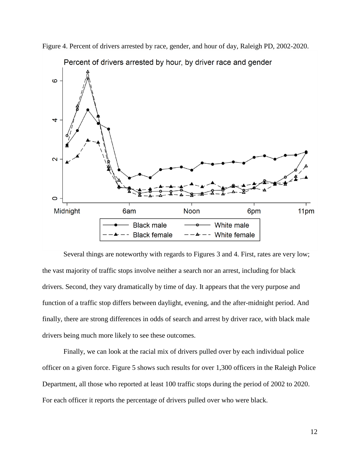

Figure 4. Percent of drivers arrested by race, gender, and hour of day, Raleigh PD, 2002-2020.

Several things are noteworthy with regards to Figures 3 and 4. First, rates are very low; the vast majority of traffic stops involve neither a search nor an arrest, including for black drivers. Second, they vary dramatically by time of day. It appears that the very purpose and function of a traffic stop differs between daylight, evening, and the after-midnight period. And finally, there are strong differences in odds of search and arrest by driver race, with black male drivers being much more likely to see these outcomes.

Finally, we can look at the racial mix of drivers pulled over by each individual police officer on a given force. Figure 5 shows such results for over 1,300 officers in the Raleigh Police Department, all those who reported at least 100 traffic stops during the period of 2002 to 2020. For each officer it reports the percentage of drivers pulled over who were black.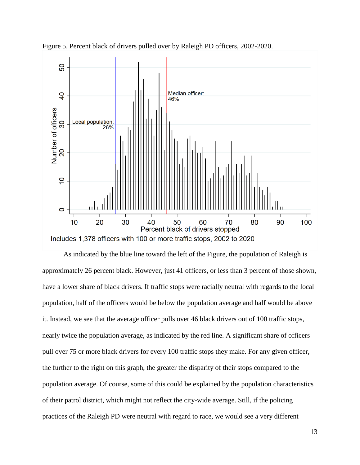

Figure 5. Percent black of drivers pulled over by Raleigh PD officers, 2002-2020.

As indicated by the blue line toward the left of the Figure, the population of Raleigh is approximately 26 percent black. However, just 41 officers, or less than 3 percent of those shown, have a lower share of black drivers. If traffic stops were racially neutral with regards to the local population, half of the officers would be below the population average and half would be above it. Instead, we see that the average officer pulls over 46 black drivers out of 100 traffic stops, nearly twice the population average, as indicated by the red line. A significant share of officers pull over 75 or more black drivers for every 100 traffic stops they make. For any given officer, the further to the right on this graph, the greater the disparity of their stops compared to the population average. Of course, some of this could be explained by the population characteristics of their patrol district, which might not reflect the city-wide average. Still, if the policing practices of the Raleigh PD were neutral with regard to race, we would see a very different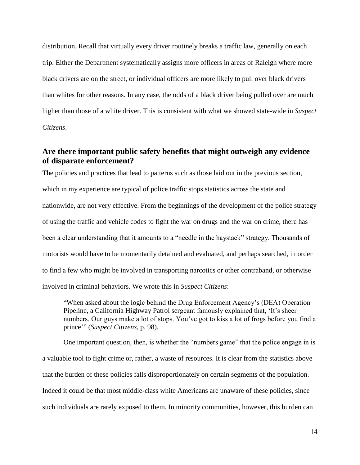distribution. Recall that virtually every driver routinely breaks a traffic law, generally on each trip. Either the Department systematically assigns more officers in areas of Raleigh where more black drivers are on the street, or individual officers are more likely to pull over black drivers than whites for other reasons. In any case, the odds of a black driver being pulled over are much higher than those of a white driver. This is consistent with what we showed state-wide in *Suspect Citizens*.

# **Are there important public safety benefits that might outweigh any evidence of disparate enforcement?**

The policies and practices that lead to patterns such as those laid out in the previous section, which in my experience are typical of police traffic stops statistics across the state and nationwide, are not very effective. From the beginnings of the development of the police strategy of using the traffic and vehicle codes to fight the war on drugs and the war on crime, there has been a clear understanding that it amounts to a "needle in the haystack" strategy. Thousands of motorists would have to be momentarily detained and evaluated, and perhaps searched, in order to find a few who might be involved in transporting narcotics or other contraband, or otherwise involved in criminal behaviors. We wrote this in *Suspect Citizens*:

"When asked about the logic behind the Drug Enforcement Agency's (DEA) Operation Pipeline, a California Highway Patrol sergeant famously explained that, 'It's sheer numbers. Our guys make a lot of stops. You've got to kiss a lot of frogs before you find a prince'" (*Suspect Citizens*, p. 98).

One important question, then, is whether the "numbers game" that the police engage in is a valuable tool to fight crime or, rather, a waste of resources. It is clear from the statistics above that the burden of these policies falls disproportionately on certain segments of the population. Indeed it could be that most middle-class white Americans are unaware of these policies, since such individuals are rarely exposed to them. In minority communities, however, this burden can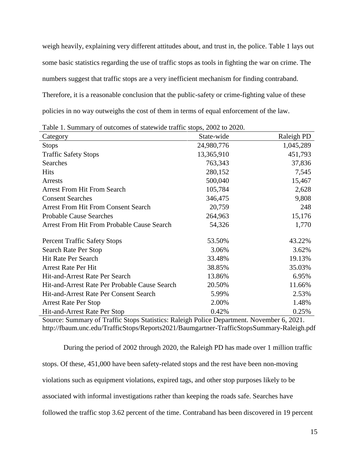weigh heavily, explaining very different attitudes about, and trust in, the police. Table 1 lays out some basic statistics regarding the use of traffic stops as tools in fighting the war on crime. The numbers suggest that traffic stops are a very inefficient mechanism for finding contraband. Therefore, it is a reasonable conclusion that the public-safety or crime-fighting value of these policies in no way outweighs the cost of them in terms of equal enforcement of the law.

Table 1. Summary of outcomes of statewide traffic stops, 2002 to 2020.

| Category                                          | State-wide | Raleigh PD |
|---------------------------------------------------|------------|------------|
| <b>Stops</b>                                      | 24,980,776 | 1,045,289  |
| <b>Traffic Safety Stops</b>                       | 13,365,910 | 451,793    |
| Searches                                          | 763,343    | 37,836     |
| <b>Hits</b>                                       | 280,152    | 7,545      |
| Arrests                                           | 500,040    | 15,467     |
| <b>Arrest From Hit From Search</b>                | 105,784    | 2,628      |
| <b>Consent Searches</b>                           | 346,475    | 9,808      |
| <b>Arrest From Hit From Consent Search</b>        | 20,759     | 248        |
| <b>Probable Cause Searches</b>                    | 264,963    | 15,176     |
| <b>Arrest From Hit From Probable Cause Search</b> | 54,326     | 1,770      |
| <b>Percent Traffic Safety Stops</b>               | 53.50%     | 43.22%     |
| Search Rate Per Stop                              | 3.06%      | 3.62%      |
| <b>Hit Rate Per Search</b>                        | 33.48%     | 19.13%     |
| <b>Arrest Rate Per Hit</b>                        | 38.85%     | 35.03%     |
| Hit-and-Arrest Rate Per Search                    | 13.86%     | 6.95%      |
| Hit-and-Arrest Rate Per Probable Cause Search     | 20.50%     | 11.66%     |
| Hit-and-Arrest Rate Per Consent Search            | 5.99%      | 2.53%      |
| <b>Arrest Rate Per Stop</b>                       | 2.00%      | 1.48%      |
| Hit-and-Arrest Rate Per Stop                      | 0.42%      | 0.25%      |

Source: Summary of Traffic Stops Statistics: Raleigh Police Department. November 6, 2021. http://fbaum.unc.edu/TrafficStops/Reports2021/Baumgartner-TrafficStopsSummary-Raleigh.pdf

During the period of 2002 through 2020, the Raleigh PD has made over 1 million traffic stops. Of these, 451,000 have been safety-related stops and the rest have been non-moving violations such as equipment violations, expired tags, and other stop purposes likely to be associated with informal investigations rather than keeping the roads safe. Searches have followed the traffic stop 3.62 percent of the time. Contraband has been discovered in 19 percent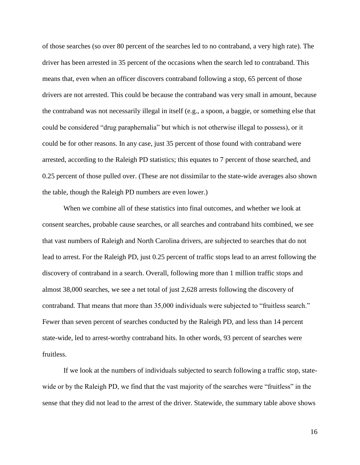of those searches (so over 80 percent of the searches led to no contraband, a very high rate). The driver has been arrested in 35 percent of the occasions when the search led to contraband. This means that, even when an officer discovers contraband following a stop, 65 percent of those drivers are not arrested. This could be because the contraband was very small in amount, because the contraband was not necessarily illegal in itself (e.g., a spoon, a baggie, or something else that could be considered "drug paraphernalia" but which is not otherwise illegal to possess), or it could be for other reasons. In any case, just 35 percent of those found with contraband were arrested, according to the Raleigh PD statistics; this equates to 7 percent of those searched, and 0.25 percent of those pulled over. (These are not dissimilar to the state-wide averages also shown the table, though the Raleigh PD numbers are even lower.)

When we combine all of these statistics into final outcomes, and whether we look at consent searches, probable cause searches, or all searches and contraband hits combined, we see that vast numbers of Raleigh and North Carolina drivers, are subjected to searches that do not lead to arrest. For the Raleigh PD, just 0.25 percent of traffic stops lead to an arrest following the discovery of contraband in a search. Overall, following more than 1 million traffic stops and almost 38,000 searches, we see a net total of just 2,628 arrests following the discovery of contraband. That means that more than 35,000 individuals were subjected to "fruitless search." Fewer than seven percent of searches conducted by the Raleigh PD, and less than 14 percent state-wide, led to arrest-worthy contraband hits. In other words, 93 percent of searches were fruitless.

If we look at the numbers of individuals subjected to search following a traffic stop, statewide or by the Raleigh PD, we find that the vast majority of the searches were "fruitless" in the sense that they did not lead to the arrest of the driver. Statewide, the summary table above shows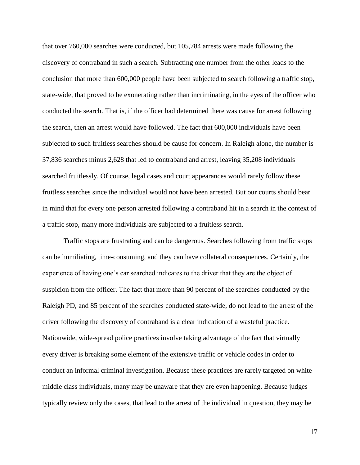that over 760,000 searches were conducted, but 105,784 arrests were made following the discovery of contraband in such a search. Subtracting one number from the other leads to the conclusion that more than 600,000 people have been subjected to search following a traffic stop, state-wide, that proved to be exonerating rather than incriminating, in the eyes of the officer who conducted the search. That is, if the officer had determined there was cause for arrest following the search, then an arrest would have followed. The fact that 600,000 individuals have been subjected to such fruitless searches should be cause for concern. In Raleigh alone, the number is 37,836 searches minus 2,628 that led to contraband and arrest, leaving 35,208 individuals searched fruitlessly. Of course, legal cases and court appearances would rarely follow these fruitless searches since the individual would not have been arrested. But our courts should bear in mind that for every one person arrested following a contraband hit in a search in the context of a traffic stop, many more individuals are subjected to a fruitless search.

Traffic stops are frustrating and can be dangerous. Searches following from traffic stops can be humiliating, time-consuming, and they can have collateral consequences. Certainly, the experience of having one's car searched indicates to the driver that they are the object of suspicion from the officer. The fact that more than 90 percent of the searches conducted by the Raleigh PD, and 85 percent of the searches conducted state-wide, do not lead to the arrest of the driver following the discovery of contraband is a clear indication of a wasteful practice. Nationwide, wide-spread police practices involve taking advantage of the fact that virtually every driver is breaking some element of the extensive traffic or vehicle codes in order to conduct an informal criminal investigation. Because these practices are rarely targeted on white middle class individuals, many may be unaware that they are even happening. Because judges typically review only the cases, that lead to the arrest of the individual in question, they may be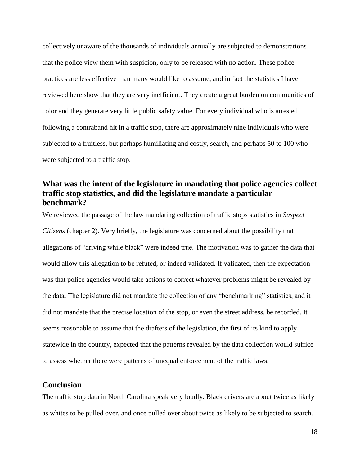collectively unaware of the thousands of individuals annually are subjected to demonstrations that the police view them with suspicion, only to be released with no action. These police practices are less effective than many would like to assume, and in fact the statistics I have reviewed here show that they are very inefficient. They create a great burden on communities of color and they generate very little public safety value. For every individual who is arrested following a contraband hit in a traffic stop, there are approximately nine individuals who were subjected to a fruitless, but perhaps humiliating and costly, search, and perhaps 50 to 100 who were subjected to a traffic stop.

# **What was the intent of the legislature in mandating that police agencies collect traffic stop statistics, and did the legislature mandate a particular benchmark?**

We reviewed the passage of the law mandating collection of traffic stops statistics in *Suspect Citizens* (chapter 2). Very briefly, the legislature was concerned about the possibility that allegations of "driving while black" were indeed true. The motivation was to gather the data that would allow this allegation to be refuted, or indeed validated. If validated, then the expectation was that police agencies would take actions to correct whatever problems might be revealed by the data. The legislature did not mandate the collection of any "benchmarking" statistics, and it did not mandate that the precise location of the stop, or even the street address, be recorded. It seems reasonable to assume that the drafters of the legislation, the first of its kind to apply statewide in the country, expected that the patterns revealed by the data collection would suffice to assess whether there were patterns of unequal enforcement of the traffic laws.

## **Conclusion**

The traffic stop data in North Carolina speak very loudly. Black drivers are about twice as likely as whites to be pulled over, and once pulled over about twice as likely to be subjected to search.